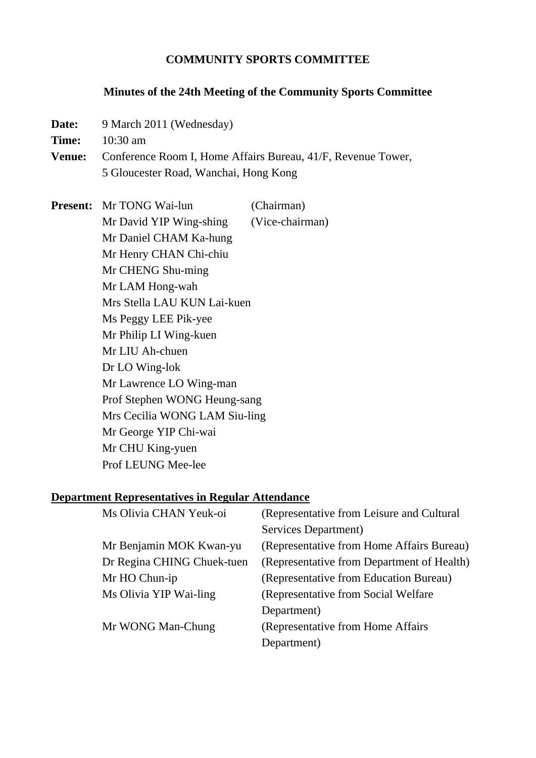### **COMMUNITY SPORTS COMMITTEE**

#### **Minutes of the 24th Meeting of the Community Sports Committee**

- **Date:** 9 March 2011 (Wednesday)
- **Time:** 10:30 am
- **Venue:** Conference Room I, Home Affairs Bureau, 41/F, Revenue Tower, 5 Gloucester Road, Wanchai, Hong Kong

**Present:** Mr TONG Wai-lun (Chairman) Mr David YIP Wing-shing (Vice-chairman) Mr Daniel CHAM Ka-hung Mr Henry CHAN Chi-chiu Mr CHENG Shu-ming Mr LAM Hong-wah Mrs Stella LAU KUN Lai-kuen Ms Peggy LEE Pik-yee Mr Philip LI Wing-kuen Mr LIU Ah-chuen Dr LO Wing-lok Mr Lawrence LO Wing-man Prof Stephen WONG Heung-sang Mrs Cecilia WONG LAM Siu-ling Mr George YIP Chi-wai Mr CHU King-yuen Prof LEUNG Mee-lee

#### **Department Representatives in Regular Attendance**

| Ms Olivia CHAN Yeuk-oi     | (Representative from Leisure and Cultural) |
|----------------------------|--------------------------------------------|
|                            | Services Department)                       |
| Mr Benjamin MOK Kwan-yu    | (Representative from Home Affairs Bureau)  |
| Dr Regina CHING Chuek-tuen | (Representative from Department of Health) |
| Mr HO Chun-ip              | (Representative from Education Bureau)     |
| Ms Olivia YIP Wai-ling     | (Representative from Social Welfare)       |
|                            | Department)                                |
| Mr WONG Man-Chung          | (Representative from Home Affairs)         |
|                            | Department)                                |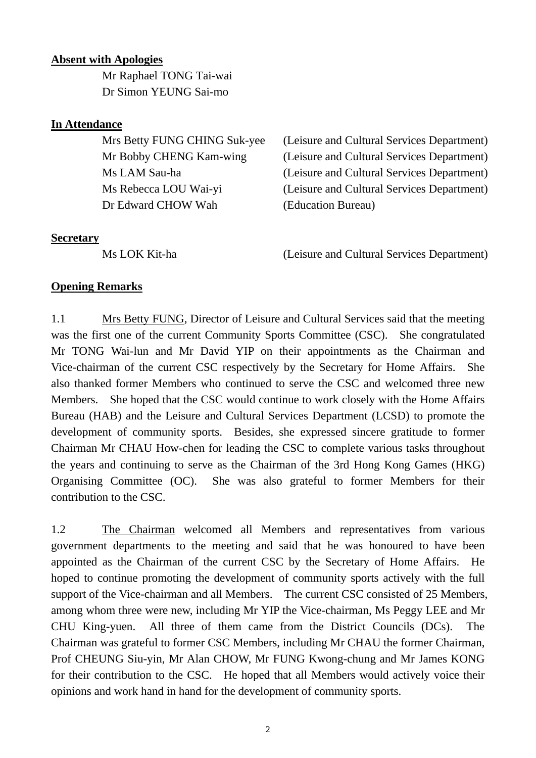### **Absent with Apologies**

 Mr Raphael TONG Tai-wai Dr Simon YEUNG Sai-mo

### **In Attendance**

Dr Edward CHOW Wah (Education Bureau)

#### **Secretary**

 Mrs Betty FUNG CHING Suk-yee (Leisure and Cultural Services Department) Mr Bobby CHENG Kam-wing (Leisure and Cultural Services Department) Ms LAM Sau-ha (Leisure and Cultural Services Department) Ms Rebecca LOU Wai-yi (Leisure and Cultural Services Department)

Ms LOK Kit-ha (Leisure and Cultural Services Department)

### **Opening Remarks**

1.1 Mrs Betty FUNG, Director of Leisure and Cultural Services said that the meeting was the first one of the current Community Sports Committee (CSC). She congratulated Mr TONG Wai-lun and Mr David YIP on their appointments as the Chairman and Vice-chairman of the current CSC respectively by the Secretary for Home Affairs. She also thanked former Members who continued to serve the CSC and welcomed three new Members. She hoped that the CSC would continue to work closely with the Home Affairs Bureau (HAB) and the Leisure and Cultural Services Department (LCSD) to promote the development of community sports. Besides, she expressed sincere gratitude to former Chairman Mr CHAU How-chen for leading the CSC to complete various tasks throughout the years and continuing to serve as the Chairman of the 3rd Hong Kong Games (HKG) Organising Committee (OC). She was also grateful to former Members for their contribution to the CSC.

1.2 The Chairman welcomed all Members and representatives from various government departments to the meeting and said that he was honoured to have been appointed as the Chairman of the current CSC by the Secretary of Home Affairs. He hoped to continue promoting the development of community sports actively with the full support of the Vice-chairman and all Members. The current CSC consisted of 25 Members, among whom three were new, including Mr YIP the Vice-chairman, Ms Peggy LEE and Mr CHU King-yuen. All three of them came from the District Councils (DCs). The Chairman was grateful to former CSC Members, including Mr CHAU the former Chairman, Prof CHEUNG Siu-yin, Mr Alan CHOW, Mr FUNG Kwong-chung and Mr James KONG for their contribution to the CSC. He hoped that all Members would actively voice their opinions and work hand in hand for the development of community sports.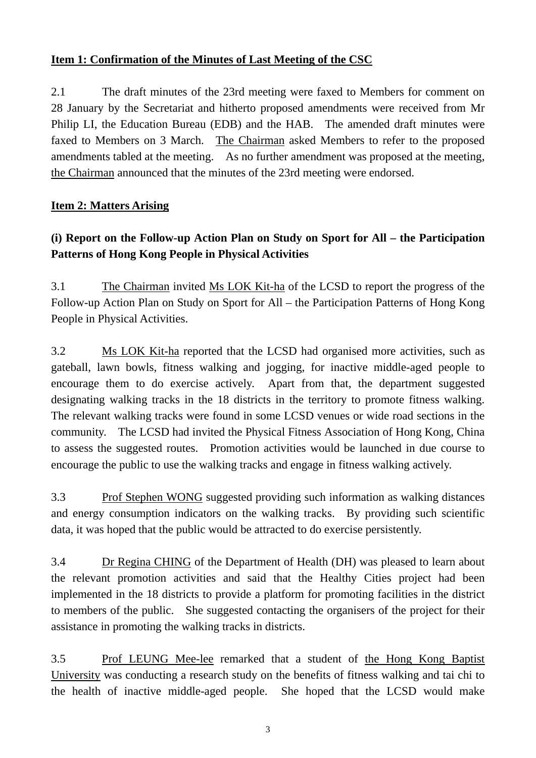## **Item 1: Confirmation of the Minutes of Last Meeting of the CSC**

2.1 The draft minutes of the 23rd meeting were faxed to Members for comment on 28 January by the Secretariat and hitherto proposed amendments were received from Mr Philip LI, the Education Bureau (EDB) and the HAB. The amended draft minutes were faxed to Members on 3 March. The Chairman asked Members to refer to the proposed amendments tabled at the meeting. As no further amendment was proposed at the meeting, the Chairman announced that the minutes of the 23rd meeting were endorsed.

## **Item 2: Matters Arising**

# **(i) Report on the Follow-up Action Plan on Study on Sport for All – the Participation Patterns of Hong Kong People in Physical Activities**

3.1 The Chairman invited Ms LOK Kit-ha of the LCSD to report the progress of the Follow-up Action Plan on Study on Sport for All – the Participation Patterns of Hong Kong People in Physical Activities.

3.2 Ms LOK Kit-ha reported that the LCSD had organised more activities, such as gateball, lawn bowls, fitness walking and jogging, for inactive middle-aged people to encourage them to do exercise actively. Apart from that, the department suggested designating walking tracks in the 18 districts in the territory to promote fitness walking. The relevant walking tracks were found in some LCSD venues or wide road sections in the community. The LCSD had invited the Physical Fitness Association of Hong Kong, China to assess the suggested routes. Promotion activities would be launched in due course to encourage the public to use the walking tracks and engage in fitness walking actively.

3.3 Prof Stephen WONG suggested providing such information as walking distances and energy consumption indicators on the walking tracks. By providing such scientific data, it was hoped that the public would be attracted to do exercise persistently.

3.4 Dr Regina CHING of the Department of Health (DH) was pleased to learn about the relevant promotion activities and said that the Healthy Cities project had been implemented in the 18 districts to provide a platform for promoting facilities in the district to members of the public. She suggested contacting the organisers of the project for their assistance in promoting the walking tracks in districts.

3.5 Prof LEUNG Mee-lee remarked that a student of the Hong Kong Baptist University was conducting a research study on the benefits of fitness walking and tai chi to the health of inactive middle-aged people. She hoped that the LCSD would make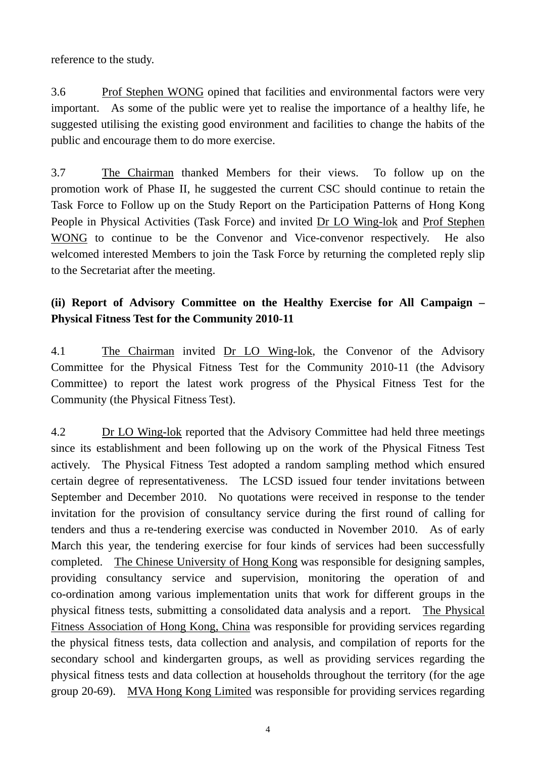reference to the study.

3.6 Prof Stephen WONG opined that facilities and environmental factors were very important. As some of the public were yet to realise the importance of a healthy life, he suggested utilising the existing good environment and facilities to change the habits of the public and encourage them to do more exercise.

3.7 The Chairman thanked Members for their views. To follow up on the promotion work of Phase II, he suggested the current CSC should continue to retain the Task Force to Follow up on the Study Report on the Participation Patterns of Hong Kong People in Physical Activities (Task Force) and invited Dr LO Wing-lok and Prof Stephen WONG to continue to be the Convenor and Vice-convenor respectively. He also welcomed interested Members to join the Task Force by returning the completed reply slip to the Secretariat after the meeting.

# **(ii) Report of Advisory Committee on the Healthy Exercise for All Campaign – Physical Fitness Test for the Community 2010-11**

4.1 The Chairman invited Dr LO Wing-lok, the Convenor of the Advisory Committee for the Physical Fitness Test for the Community 2010-11 (the Advisory Committee) to report the latest work progress of the Physical Fitness Test for the Community (the Physical Fitness Test).

4.2 Dr LO Wing-lok reported that the Advisory Committee had held three meetings since its establishment and been following up on the work of the Physical Fitness Test actively. The Physical Fitness Test adopted a random sampling method which ensured certain degree of representativeness. The LCSD issued four tender invitations between September and December 2010. No quotations were received in response to the tender invitation for the provision of consultancy service during the first round of calling for tenders and thus a re-tendering exercise was conducted in November 2010. As of early March this year, the tendering exercise for four kinds of services had been successfully completed. The Chinese University of Hong Kong was responsible for designing samples, providing consultancy service and supervision, monitoring the operation of and co-ordination among various implementation units that work for different groups in the physical fitness tests, submitting a consolidated data analysis and a report. The Physical Fitness Association of Hong Kong, China was responsible for providing services regarding the physical fitness tests, data collection and analysis, and compilation of reports for the secondary school and kindergarten groups, as well as providing services regarding the physical fitness tests and data collection at households throughout the territory (for the age group 20-69). MVA Hong Kong Limited was responsible for providing services regarding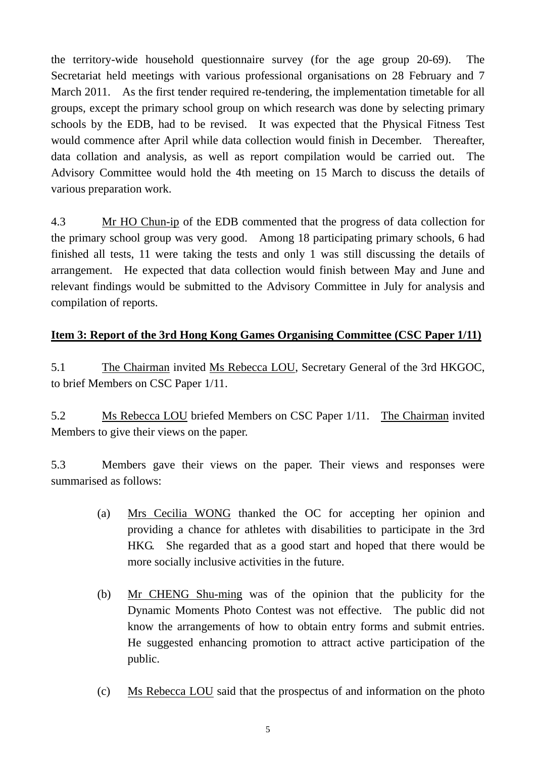the territory-wide household questionnaire survey (for the age group 20-69). The Secretariat held meetings with various professional organisations on 28 February and 7 March 2011. As the first tender required re-tendering, the implementation timetable for all groups, except the primary school group on which research was done by selecting primary schools by the EDB, had to be revised. It was expected that the Physical Fitness Test would commence after April while data collection would finish in December. Thereafter, data collation and analysis, as well as report compilation would be carried out. The Advisory Committee would hold the 4th meeting on 15 March to discuss the details of various preparation work.

4.3 Mr HO Chun-ip of the EDB commented that the progress of data collection for the primary school group was very good. Among 18 participating primary schools, 6 had finished all tests, 11 were taking the tests and only 1 was still discussing the details of arrangement. He expected that data collection would finish between May and June and relevant findings would be submitted to the Advisory Committee in July for analysis and compilation of reports.

# **Item 3: Report of the 3rd Hong Kong Games Organising Committee (CSC Paper 1/11)**

5.1 The Chairman invited Ms Rebecca LOU, Secretary General of the 3rd HKGOC, to brief Members on CSC Paper 1/11.

5.2 Ms Rebecca LOU briefed Members on CSC Paper 1/11. The Chairman invited Members to give their views on the paper.

5.3 Members gave their views on the paper. Their views and responses were summarised as follows:

- (a) Mrs Cecilia WONG thanked the OC for accepting her opinion and providing a chance for athletes with disabilities to participate in the 3rd HKG. She regarded that as a good start and hoped that there would be more socially inclusive activities in the future.
- (b) Mr CHENG Shu-ming was of the opinion that the publicity for the Dynamic Moments Photo Contest was not effective. The public did not know the arrangements of how to obtain entry forms and submit entries. He suggested enhancing promotion to attract active participation of the public.
- (c) Ms Rebecca LOU said that the prospectus of and information on the photo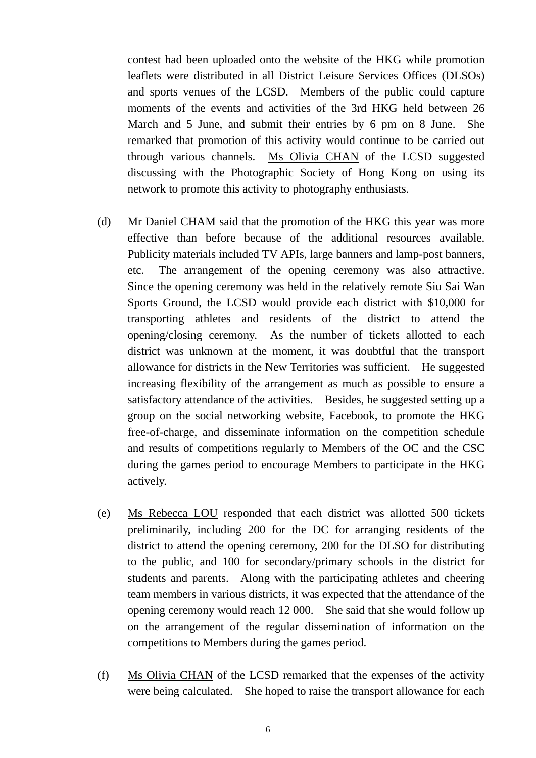contest had been uploaded onto the website of the HKG while promotion leaflets were distributed in all District Leisure Services Offices (DLSOs) and sports venues of the LCSD. Members of the public could capture moments of the events and activities of the 3rd HKG held between 26 March and 5 June, and submit their entries by 6 pm on 8 June. She remarked that promotion of this activity would continue to be carried out through various channels. Ms Olivia CHAN of the LCSD suggested discussing with the Photographic Society of Hong Kong on using its network to promote this activity to photography enthusiasts.

- (d) Mr Daniel CHAM said that the promotion of the HKG this year was more effective than before because of the additional resources available. Publicity materials included TV APIs, large banners and lamp-post banners, etc. The arrangement of the opening ceremony was also attractive. Since the opening ceremony was held in the relatively remote Siu Sai Wan Sports Ground, the LCSD would provide each district with \$10,000 for transporting athletes and residents of the district to attend the opening/closing ceremony. As the number of tickets allotted to each district was unknown at the moment, it was doubtful that the transport allowance for districts in the New Territories was sufficient. He suggested increasing flexibility of the arrangement as much as possible to ensure a satisfactory attendance of the activities. Besides, he suggested setting up a group on the social networking website, Facebook, to promote the HKG free-of-charge, and disseminate information on the competition schedule and results of competitions regularly to Members of the OC and the CSC during the games period to encourage Members to participate in the HKG actively.
- (e) Ms Rebecca LOU responded that each district was allotted 500 tickets preliminarily, including 200 for the DC for arranging residents of the district to attend the opening ceremony, 200 for the DLSO for distributing to the public, and 100 for secondary/primary schools in the district for students and parents. Along with the participating athletes and cheering team members in various districts, it was expected that the attendance of the opening ceremony would reach 12 000. She said that she would follow up on the arrangement of the regular dissemination of information on the competitions to Members during the games period.
- (f) Ms Olivia CHAN of the LCSD remarked that the expenses of the activity were being calculated. She hoped to raise the transport allowance for each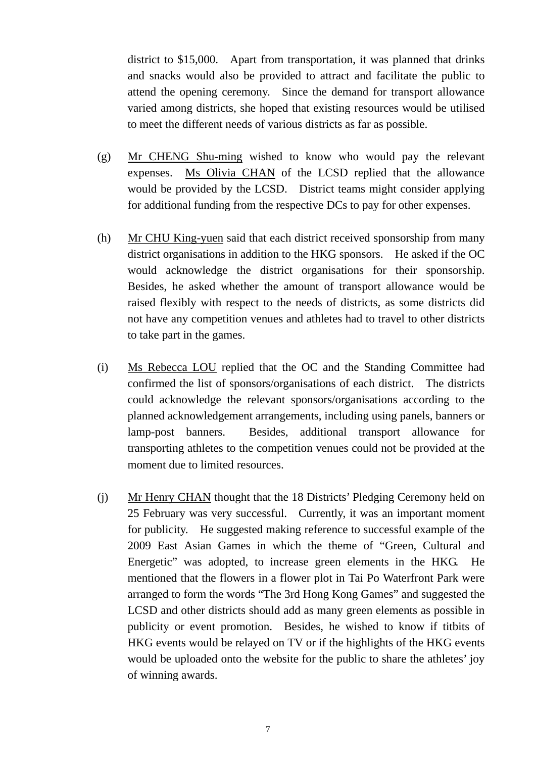district to \$15,000. Apart from transportation, it was planned that drinks and snacks would also be provided to attract and facilitate the public to attend the opening ceremony. Since the demand for transport allowance varied among districts, she hoped that existing resources would be utilised to meet the different needs of various districts as far as possible.

- (g) Mr CHENG Shu-ming wished to know who would pay the relevant expenses. Ms Olivia CHAN of the LCSD replied that the allowance would be provided by the LCSD. District teams might consider applying for additional funding from the respective DCs to pay for other expenses.
- (h) Mr CHU King-yuen said that each district received sponsorship from many district organisations in addition to the HKG sponsors. He asked if the OC would acknowledge the district organisations for their sponsorship. Besides, he asked whether the amount of transport allowance would be raised flexibly with respect to the needs of districts, as some districts did not have any competition venues and athletes had to travel to other districts to take part in the games.
- (i) Ms Rebecca LOU replied that the OC and the Standing Committee had confirmed the list of sponsors/organisations of each district. The districts could acknowledge the relevant sponsors/organisations according to the planned acknowledgement arrangements, including using panels, banners or lamp-post banners. Besides, additional transport allowance for transporting athletes to the competition venues could not be provided at the moment due to limited resources.
- (j) Mr Henry CHAN thought that the 18 Districts' Pledging Ceremony held on 25 February was very successful. Currently, it was an important moment for publicity. He suggested making reference to successful example of the 2009 East Asian Games in which the theme of "Green, Cultural and Energetic" was adopted, to increase green elements in the HKG. He mentioned that the flowers in a flower plot in Tai Po Waterfront Park were arranged to form the words "The 3rd Hong Kong Games" and suggested the LCSD and other districts should add as many green elements as possible in publicity or event promotion. Besides, he wished to know if titbits of HKG events would be relayed on TV or if the highlights of the HKG events would be uploaded onto the website for the public to share the athletes' joy of winning awards.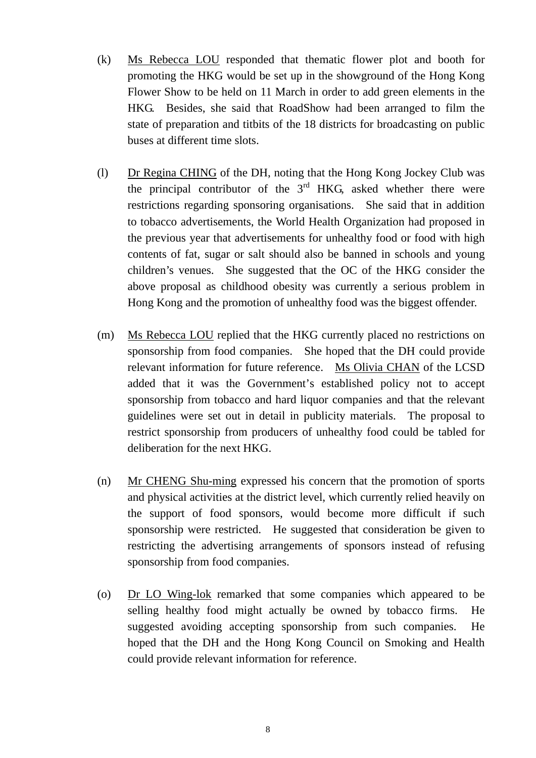- (k) Ms Rebecca LOU responded that thematic flower plot and booth for promoting the HKG would be set up in the showground of the Hong Kong Flower Show to be held on 11 March in order to add green elements in the HKG. Besides, she said that RoadShow had been arranged to film the state of preparation and titbits of the 18 districts for broadcasting on public buses at different time slots.
- (l) Dr Regina CHING of the DH, noting that the Hong Kong Jockey Club was the principal contributor of the  $3<sup>rd</sup>$  HKG, asked whether there were restrictions regarding sponsoring organisations. She said that in addition to tobacco advertisements, the World Health Organization had proposed in the previous year that advertisements for unhealthy food or food with high contents of fat, sugar or salt should also be banned in schools and young children's venues. She suggested that the OC of the HKG consider the above proposal as childhood obesity was currently a serious problem in Hong Kong and the promotion of unhealthy food was the biggest offender.
- (m) Ms Rebecca LOU replied that the HKG currently placed no restrictions on sponsorship from food companies. She hoped that the DH could provide relevant information for future reference. Ms Olivia CHAN of the LCSD added that it was the Government's established policy not to accept sponsorship from tobacco and hard liquor companies and that the relevant guidelines were set out in detail in publicity materials. The proposal to restrict sponsorship from producers of unhealthy food could be tabled for deliberation for the next HKG.
- (n) Mr CHENG Shu-ming expressed his concern that the promotion of sports and physical activities at the district level, which currently relied heavily on the support of food sponsors, would become more difficult if such sponsorship were restricted. He suggested that consideration be given to restricting the advertising arrangements of sponsors instead of refusing sponsorship from food companies.
- (o) Dr LO Wing-lok remarked that some companies which appeared to be selling healthy food might actually be owned by tobacco firms. He suggested avoiding accepting sponsorship from such companies. He hoped that the DH and the Hong Kong Council on Smoking and Health could provide relevant information for reference.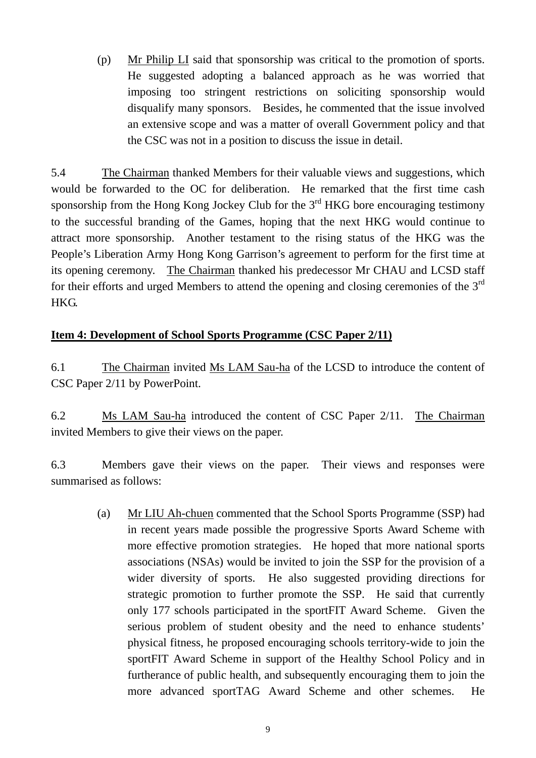(p) Mr Philip LI said that sponsorship was critical to the promotion of sports. He suggested adopting a balanced approach as he was worried that imposing too stringent restrictions on soliciting sponsorship would disqualify many sponsors. Besides, he commented that the issue involved an extensive scope and was a matter of overall Government policy and that the CSC was not in a position to discuss the issue in detail.

5.4 The Chairman thanked Members for their valuable views and suggestions, which would be forwarded to the OC for deliberation. He remarked that the first time cash sponsorship from the Hong Kong Jockey Club for the  $3<sup>rd</sup>$  HKG bore encouraging testimony to the successful branding of the Games, hoping that the next HKG would continue to attract more sponsorship. Another testament to the rising status of the HKG was the People's Liberation Army Hong Kong Garrison's agreement to perform for the first time at its opening ceremony. The Chairman thanked his predecessor Mr CHAU and LCSD staff for their efforts and urged Members to attend the opening and closing ceremonies of the 3rd **HKG** 

## **Item 4: Development of School Sports Programme (CSC Paper 2/11)**

6.1 The Chairman invited Ms LAM Sau-ha of the LCSD to introduce the content of CSC Paper 2/11 by PowerPoint.

6.2 Ms LAM Sau-ha introduced the content of CSC Paper 2/11. The Chairman invited Members to give their views on the paper.

6.3 Members gave their views on the paper. Their views and responses were summarised as follows:

> (a) Mr LIU Ah-chuen commented that the School Sports Programme (SSP) had in recent years made possible the progressive Sports Award Scheme with more effective promotion strategies. He hoped that more national sports associations (NSAs) would be invited to join the SSP for the provision of a wider diversity of sports. He also suggested providing directions for strategic promotion to further promote the SSP. He said that currently only 177 schools participated in the sportFIT Award Scheme. Given the serious problem of student obesity and the need to enhance students' physical fitness, he proposed encouraging schools territory-wide to join the sportFIT Award Scheme in support of the Healthy School Policy and in furtherance of public health, and subsequently encouraging them to join the more advanced sportTAG Award Scheme and other schemes. He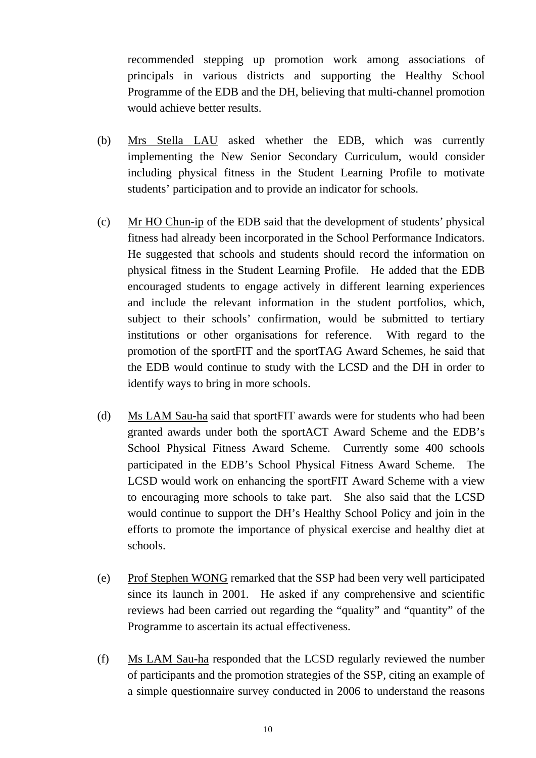recommended stepping up promotion work among associations of principals in various districts and supporting the Healthy School Programme of the EDB and the DH, believing that multi-channel promotion would achieve better results.

- (b) Mrs Stella LAU asked whether the EDB, which was currently implementing the New Senior Secondary Curriculum, would consider including physical fitness in the Student Learning Profile to motivate students' participation and to provide an indicator for schools.
- (c) Mr HO Chun-ip of the EDB said that the development of students' physical fitness had already been incorporated in the School Performance Indicators. He suggested that schools and students should record the information on physical fitness in the Student Learning Profile. He added that the EDB encouraged students to engage actively in different learning experiences and include the relevant information in the student portfolios, which, subject to their schools' confirmation, would be submitted to tertiary institutions or other organisations for reference. With regard to the promotion of the sportFIT and the sportTAG Award Schemes, he said that the EDB would continue to study with the LCSD and the DH in order to identify ways to bring in more schools.
- (d) Ms LAM Sau-ha said that sportFIT awards were for students who had been granted awards under both the sportACT Award Scheme and the EDB's School Physical Fitness Award Scheme. Currently some 400 schools participated in the EDB's School Physical Fitness Award Scheme. The LCSD would work on enhancing the sportFIT Award Scheme with a view to encouraging more schools to take part. She also said that the LCSD would continue to support the DH's Healthy School Policy and join in the efforts to promote the importance of physical exercise and healthy diet at schools.
- (e) Prof Stephen WONG remarked that the SSP had been very well participated since its launch in 2001. He asked if any comprehensive and scientific reviews had been carried out regarding the "quality" and "quantity" of the Programme to ascertain its actual effectiveness.
- (f) Ms LAM Sau-ha responded that the LCSD regularly reviewed the number of participants and the promotion strategies of the SSP, citing an example of a simple questionnaire survey conducted in 2006 to understand the reasons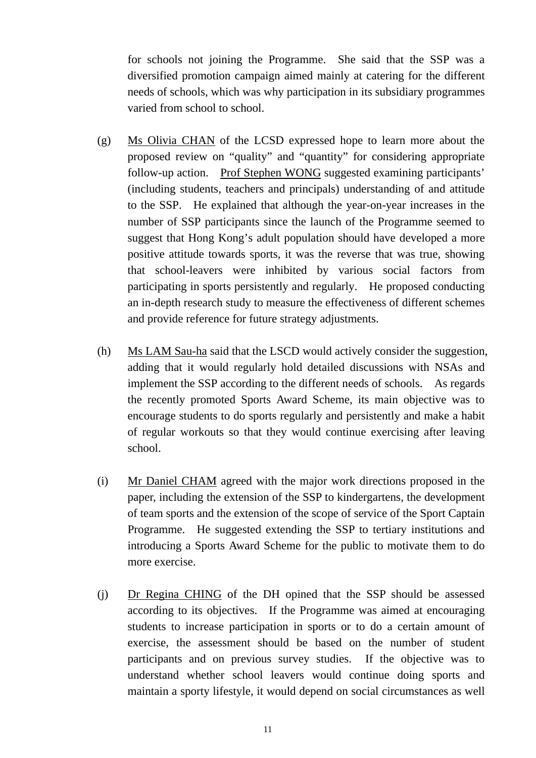for schools not joining the Programme. She said that the SSP was a diversified promotion campaign aimed mainly at catering for the different needs of schools, which was why participation in its subsidiary programmes varied from school to school.

- (g) Ms Olivia CHAN of the LCSD expressed hope to learn more about the proposed review on "quality" and "quantity" for considering appropriate follow-up action. Prof Stephen WONG suggested examining participants' (including students, teachers and principals) understanding of and attitude to the SSP. He explained that although the year-on-year increases in the number of SSP participants since the launch of the Programme seemed to suggest that Hong Kong's adult population should have developed a more positive attitude towards sports, it was the reverse that was true, showing that school-leavers were inhibited by various social factors from participating in sports persistently and regularly. He proposed conducting an in-depth research study to measure the effectiveness of different schemes and provide reference for future strategy adjustments.
- (h) Ms LAM Sau-ha said that the LSCD would actively consider the suggestion, adding that it would regularly hold detailed discussions with NSAs and implement the SSP according to the different needs of schools. As regards the recently promoted Sports Award Scheme, its main objective was to encourage students to do sports regularly and persistently and make a habit of regular workouts so that they would continue exercising after leaving school.
- (i) Mr Daniel CHAM agreed with the major work directions proposed in the paper, including the extension of the SSP to kindergartens, the development of team sports and the extension of the scope of service of the Sport Captain Programme. He suggested extending the SSP to tertiary institutions and introducing a Sports Award Scheme for the public to motivate them to do more exercise.
- (j) Dr Regina CHING of the DH opined that the SSP should be assessed according to its objectives. If the Programme was aimed at encouraging students to increase participation in sports or to do a certain amount of exercise, the assessment should be based on the number of student participants and on previous survey studies. If the objective was to understand whether school leavers would continue doing sports and maintain a sporty lifestyle, it would depend on social circumstances as well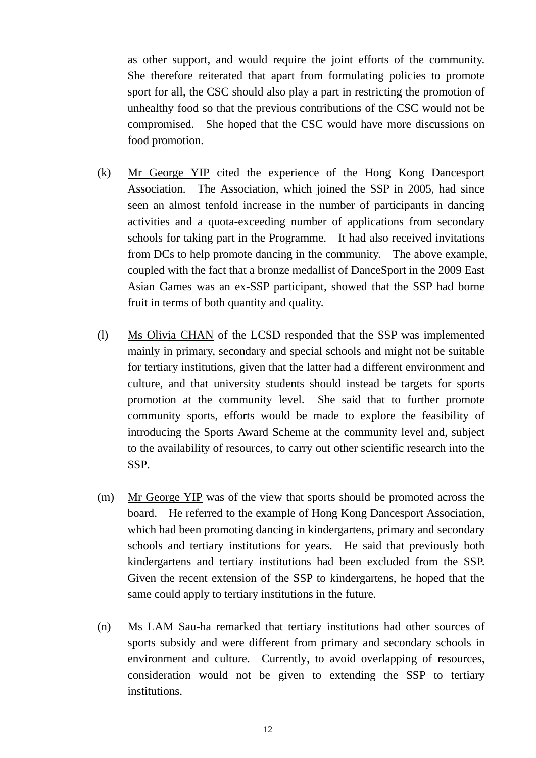as other support, and would require the joint efforts of the community. She therefore reiterated that apart from formulating policies to promote sport for all, the CSC should also play a part in restricting the promotion of unhealthy food so that the previous contributions of the CSC would not be compromised. She hoped that the CSC would have more discussions on food promotion.

- (k) Mr George YIP cited the experience of the Hong Kong Dancesport Association. The Association, which joined the SSP in 2005, had since seen an almost tenfold increase in the number of participants in dancing activities and a quota-exceeding number of applications from secondary schools for taking part in the Programme. It had also received invitations from DCs to help promote dancing in the community. The above example, coupled with the fact that a bronze medallist of DanceSport in the 2009 East Asian Games was an ex-SSP participant, showed that the SSP had borne fruit in terms of both quantity and quality.
- (l) Ms Olivia CHAN of the LCSD responded that the SSP was implemented mainly in primary, secondary and special schools and might not be suitable for tertiary institutions, given that the latter had a different environment and culture, and that university students should instead be targets for sports promotion at the community level. She said that to further promote community sports, efforts would be made to explore the feasibility of introducing the Sports Award Scheme at the community level and, subject to the availability of resources, to carry out other scientific research into the SSP.
- (m) Mr George YIP was of the view that sports should be promoted across the board. He referred to the example of Hong Kong Dancesport Association, which had been promoting dancing in kindergartens, primary and secondary schools and tertiary institutions for years. He said that previously both kindergartens and tertiary institutions had been excluded from the SSP. Given the recent extension of the SSP to kindergartens, he hoped that the same could apply to tertiary institutions in the future.
- (n) Ms LAM Sau-ha remarked that tertiary institutions had other sources of sports subsidy and were different from primary and secondary schools in environment and culture. Currently, to avoid overlapping of resources, consideration would not be given to extending the SSP to tertiary institutions.